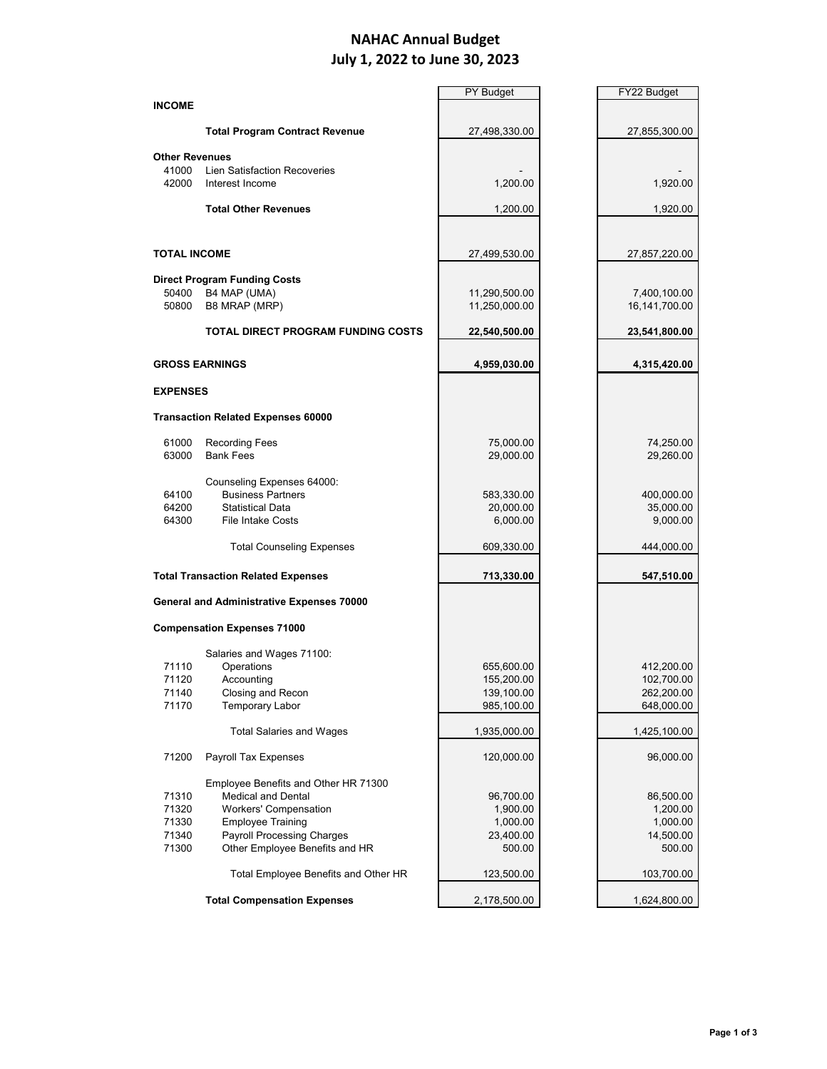## **NAHAC Annual Budget July 1, 2022 to June 30, 2023**

|                       |                                           | <b>PY Budget</b> | FY22 Budget                   |
|-----------------------|-------------------------------------------|------------------|-------------------------------|
| <b>INCOME</b>         |                                           |                  |                               |
|                       |                                           |                  |                               |
|                       | <b>Total Program Contract Revenue</b>     | 27,498,330.00    | 27,855,300.00                 |
| <b>Other Revenues</b> |                                           |                  |                               |
| 41000                 | <b>Lien Satisfaction Recoveries</b>       |                  |                               |
| 42000                 | Interest Income                           | 1,200.00         | 1,920.00                      |
|                       |                                           |                  |                               |
|                       | <b>Total Other Revenues</b>               | 1,200.00         | 1,920.00                      |
|                       |                                           |                  |                               |
|                       |                                           |                  |                               |
| <b>TOTAL INCOME</b>   |                                           | 27,499,530.00    | 27,857,220.00                 |
|                       |                                           |                  |                               |
|                       | <b>Direct Program Funding Costs</b>       |                  |                               |
| 50400<br>50800        | B4 MAP (UMA)<br>B8 MRAP (MRP)             | 11,290,500.00    | 7,400,100.00<br>16,141,700.00 |
|                       |                                           | 11,250,000.00    |                               |
|                       | <b>TOTAL DIRECT PROGRAM FUNDING COSTS</b> | 22,540,500.00    | 23,541,800.00                 |
|                       |                                           |                  |                               |
|                       | <b>GROSS EARNINGS</b>                     | 4,959,030.00     | 4,315,420.00                  |
|                       |                                           |                  |                               |
| <b>EXPENSES</b>       |                                           |                  |                               |
|                       |                                           |                  |                               |
|                       | <b>Transaction Related Expenses 60000</b> |                  |                               |
| 61000                 | <b>Recording Fees</b>                     | 75,000.00        | 74,250.00                     |
| 63000                 | <b>Bank Fees</b>                          | 29,000.00        | 29,260.00                     |
|                       |                                           |                  |                               |
|                       | Counseling Expenses 64000:                |                  |                               |
| 64100                 | <b>Business Partners</b>                  | 583,330.00       | 400,000.00                    |
| 64200                 | <b>Statistical Data</b>                   | 20,000.00        | 35,000.00                     |
| 64300                 | <b>File Intake Costs</b>                  | 6,000.00         | 9,000.00                      |
|                       |                                           |                  |                               |
|                       | <b>Total Counseling Expenses</b>          | 609,330.00       | 444,000.00                    |
|                       |                                           |                  |                               |
|                       | <b>Total Transaction Related Expenses</b> | 713,330.00       | 547,510.00                    |
|                       | General and Administrative Expenses 70000 |                  |                               |
|                       |                                           |                  |                               |
|                       | <b>Compensation Expenses 71000</b>        |                  |                               |
|                       |                                           |                  |                               |
|                       | Salaries and Wages 71100:                 |                  |                               |
| 71110                 | Operations                                | 655,600.00       | 412,200.00                    |
| 71120                 | Accounting                                | 155,200.00       | 102,700.00                    |
| 71140                 | Closing and Recon                         | 139,100.00       | 262,200.00                    |
| 71170                 | <b>Temporary Labor</b>                    | 985,100.00       | 648,000.00                    |
|                       | <b>Total Salaries and Wages</b>           | 1,935,000.00     | 1,425,100.00                  |
|                       |                                           |                  |                               |
| 71200                 | Payroll Tax Expenses                      | 120,000.00       | 96,000.00                     |
|                       |                                           |                  |                               |
|                       | Employee Benefits and Other HR 71300      |                  |                               |
| 71310                 | <b>Medical and Dental</b>                 | 96,700.00        | 86,500.00                     |
| 71320                 | Workers' Compensation                     | 1,900.00         | 1,200.00                      |
| 71330                 | <b>Employee Training</b>                  | 1,000.00         | 1,000.00                      |
| 71340                 | <b>Payroll Processing Charges</b>         | 23,400.00        | 14,500.00                     |
| 71300                 | Other Employee Benefits and HR            | 500.00           | 500.00                        |
|                       |                                           |                  |                               |
|                       | Total Employee Benefits and Other HR      | 123,500.00       | 103,700.00                    |
|                       |                                           |                  |                               |
|                       | <b>Total Compensation Expenses</b>        | 2,178,500.00     | 1,624,800.00                  |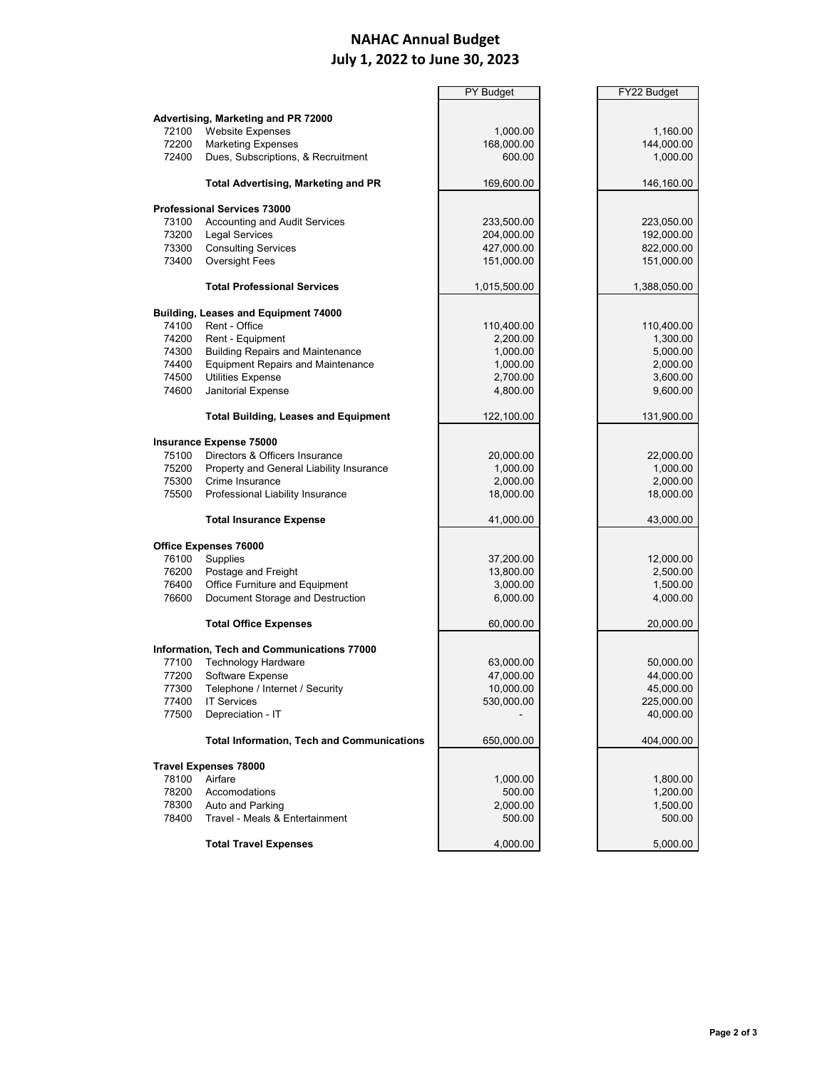## **NAHAC Annual Budget July 1, 2022 to June 30, 2023**

è

|                              |                                                   | <b>PY Budget</b> | FY22 Budget  |
|------------------------------|---------------------------------------------------|------------------|--------------|
|                              |                                                   |                  |              |
|                              | Advertising, Marketing and PR 72000               |                  |              |
| 72100                        | <b>Website Expenses</b>                           | 1,000.00         | 1,160.00     |
| 72200                        | <b>Marketing Expenses</b>                         | 168,000.00       | 144,000.00   |
| 72400                        | Dues, Subscriptions, & Recruitment                | 600.00           | 1,000.00     |
|                              |                                                   |                  |              |
|                              | <b>Total Advertising, Marketing and PR</b>        | 169,600.00       | 146,160.00   |
|                              |                                                   |                  |              |
|                              | <b>Professional Services 73000</b>                |                  |              |
| 73100                        | Accounting and Audit Services                     | 233,500.00       | 223,050.00   |
| 73200                        | Legal Services                                    | 204,000.00       | 192,000.00   |
| 73300                        | <b>Consulting Services</b>                        | 427,000.00       | 822,000.00   |
| 73400                        | <b>Oversight Fees</b>                             | 151,000.00       | 151,000.00   |
|                              | <b>Total Professional Services</b>                | 1,015,500.00     | 1,388,050.00 |
|                              | Building, Leases and Equipment 74000              |                  |              |
| 74100                        | Rent - Office                                     | 110,400.00       | 110,400.00   |
| 74200                        | Rent - Equipment                                  | 2,200.00         | 1,300.00     |
| 74300                        | <b>Building Repairs and Maintenance</b>           | 1,000.00         | 5,000.00     |
| 74400                        | <b>Equipment Repairs and Maintenance</b>          | 1,000.00         | 2,000.00     |
| 74500                        | <b>Utilities Expense</b>                          | 2,700.00         | 3,600.00     |
| 74600                        | Janitorial Expense                                | 4,800.00         | 9,600.00     |
|                              |                                                   |                  |              |
|                              | <b>Total Building, Leases and Equipment</b>       | 122,100.00       | 131,900.00   |
|                              | Insurance Expense 75000                           |                  |              |
| 75100                        | Directors & Officers Insurance                    | 20,000.00        | 22,000.00    |
| 75200                        | Property and General Liability Insurance          | 1,000.00         | 1,000.00     |
| 75300                        | Crime Insurance                                   | 2,000.00         | 2,000.00     |
| 75500                        | Professional Liability Insurance                  | 18,000.00        | 18,000.00    |
|                              |                                                   |                  |              |
|                              | <b>Total Insurance Expense</b>                    | 41,000.00        | 43,000.00    |
|                              | <b>Office Expenses 76000</b>                      |                  |              |
| 76100                        | Supplies                                          | 37,200.00        | 12,000.00    |
| 76200                        | Postage and Freight                               | 13,800.00        | 2,500.00     |
| 76400                        | Office Furniture and Equipment                    | 3,000.00         | 1,500.00     |
| 76600                        | Document Storage and Destruction                  | 6,000.00         | 4,000.00     |
|                              |                                                   |                  |              |
|                              | <b>Total Office Expenses</b>                      | 60,000.00        | 20,000.00    |
|                              | Information, Tech and Communications 77000        |                  |              |
| 77100                        | <b>Technology Hardware</b>                        | 63,000.00        | 50,000.00    |
| 77200                        | Software Expense                                  | 47,000.00        | 44,000.00    |
| 77300                        | Telephone / Internet / Security                   | 10,000.00        | 45,000.00    |
| 77400                        | <b>IT Services</b>                                | 530,000.00       | 225,000.00   |
| 77500                        | Depreciation - IT                                 |                  | 40,000.00    |
|                              |                                                   |                  |              |
|                              | <b>Total Information, Tech and Communications</b> | 650,000.00       | 404,000.00   |
| <b>Travel Expenses 78000</b> |                                                   |                  |              |
| 78100                        | Airfare                                           | 1,000.00         | 1,800.00     |
| 78200                        | Accomodations                                     | 500.00           | 1,200.00     |
| 78300                        | Auto and Parking                                  | 2,000.00         | 1,500.00     |
| 78400                        | Travel - Meals & Entertainment                    | 500.00           | 500.00       |
|                              |                                                   |                  |              |
|                              | <b>Total Travel Expenses</b>                      | 4,000.00         | 5,000.00     |